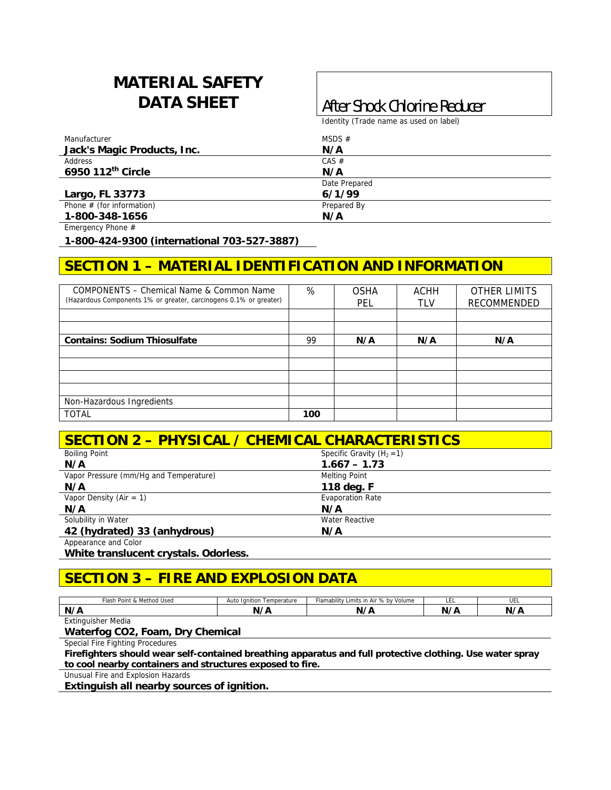# **MATERIAL SAFETY**

## **DATA SHEET After Shock Chlorine Reducer**

Identity (Trade name as used on label)

| Manufacturer                | MSDS $#$      |  |
|-----------------------------|---------------|--|
| Jack's Magic Products, Inc. | N/A           |  |
| Address                     | $CAS \#$      |  |
| 6950 112th Circle           | N/A           |  |
|                             | Date Prepared |  |
| Largo, FL 33773             | 6/1/99        |  |
| Phone $#$ (for information) | Prepared By   |  |
| 1-800-348-1656              | N/A           |  |

Emergency Phone #

**1-800-424-9300 (international 703-527-3887)** 

## **SECTION 1 – MATERIAL IDENTIFICATION AND INFORMATION**

| COMPONENTS – Chemical Name & Common Name<br>(Hazardous Components 1% or greater, carcinogens 0.1% or greater) | %   | <b>OSHA</b><br><b>PEL</b> | <b>ACHH</b><br><b>TLV</b> | <b>OTHER LIMITS</b><br>RECOMMENDED |
|---------------------------------------------------------------------------------------------------------------|-----|---------------------------|---------------------------|------------------------------------|
|                                                                                                               |     |                           |                           |                                    |
| <b>Contains: Sodium Thiosulfate</b>                                                                           | 99  | N/A                       | N/A                       | N/A                                |
|                                                                                                               |     |                           |                           |                                    |
|                                                                                                               |     |                           |                           |                                    |
|                                                                                                               |     |                           |                           |                                    |
| Non-Hazardous Ingredients                                                                                     |     |                           |                           |                                    |
| <b>TOTAL</b>                                                                                                  | 100 |                           |                           |                                    |

#### **SECTION 2 – PHYSICAL / CHEMICAL CHARACTERISTICS**

| <b>Boiling Point</b>                   | Specific Gravity $(H_2 = 1)$ |
|----------------------------------------|------------------------------|
| N/A                                    | $1.667 - 1.73$               |
| Vapor Pressure (mm/Hq and Temperature) | <b>Melting Point</b>         |
| N/A                                    | 118 deg. F                   |
| Vapor Density (Air = 1)                | <b>Evaporation Rate</b>      |
| N/A                                    | N/A                          |
| Solubility in Water                    | <b>Water Reactive</b>        |
| 42 (hydrated) 33 (anhydrous)           | N/A                          |
| Appearance and Color                   |                              |

**White translucent crystals. Odorless.** 

## **SECTION 3 – FIRE AND EXPLOSION DATA**

| & Method Used<br>™ash<br>Point & | Auto<br>Temperature<br>Tanition | 'n Air % by Volume<br>$\cdots$<br>Flamability<br>Limits ' | ᄔᄂ | UEL    |
|----------------------------------|---------------------------------|-----------------------------------------------------------|----|--------|
| N/A                              | $\cdot$                         | N,<br>B<br>$\overline{\phantom{a}}$                       | N' | NI / C |
| Extinguisher Media               |                                 |                                                           |    |        |

**Waterfog CO2, Foam, Dry Chemical** 

Special Fire Fighting Procedures

**Firefighters should wear self-contained breathing apparatus and full protective clothing. Use water spray to cool nearby containers and structures exposed to fire.** 

Unusual Fire and Explosion Hazards

**Extinguish all nearby sources of ignition.**